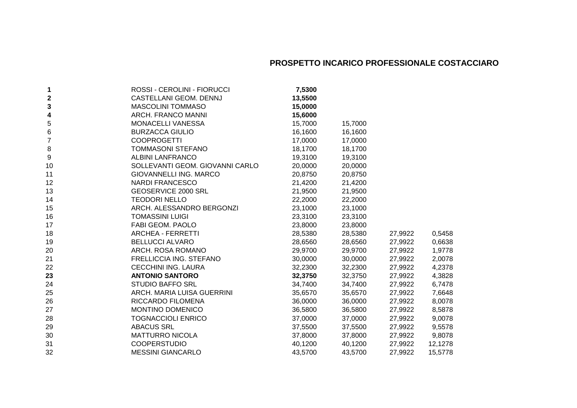## **PROSPETTO INCARICO PROFESSIONALE COSTACCIARO**

| 1              | ROSSI - CEROLINI - FIORUCCI     | 7,5300  |         |         |         |
|----------------|---------------------------------|---------|---------|---------|---------|
| 2              | CASTELLANI GEOM. DENNJ          | 13,5500 |         |         |         |
| 3              | <b>MASCOLINI TOMMASO</b>        | 15,0000 |         |         |         |
| 4              | ARCH. FRANCO MANNI              | 15,6000 |         |         |         |
| 5              | MONACELLI VANESSA               | 15,7000 | 15,7000 |         |         |
| 6              | <b>BURZACCA GIULIO</b>          | 16,1600 | 16,1600 |         |         |
| $\overline{7}$ | <b>COOPROGETTI</b>              | 17,0000 | 17,0000 |         |         |
| 8              | <b>TOMMASONI STEFANO</b>        | 18,1700 | 18,1700 |         |         |
| 9              | <b>ALBINI LANFRANCO</b>         | 19,3100 | 19,3100 |         |         |
| 10             | SOLLEVANTI GEOM. GIOVANNI CARLO | 20,0000 | 20,0000 |         |         |
| 11             | <b>GIOVANNELLI ING. MARCO</b>   | 20,8750 | 20,8750 |         |         |
| 12             | <b>NARDI FRANCESCO</b>          | 21,4200 | 21,4200 |         |         |
| 13             | GEOSERVICE 2000 SRL             | 21,9500 | 21,9500 |         |         |
| 14             | <b>TEODORI NELLO</b>            | 22,2000 | 22,2000 |         |         |
| 15             | ARCH. ALESSANDRO BERGONZI       | 23,1000 | 23,1000 |         |         |
| 16             | <b>TOMASSINI LUIGI</b>          | 23,3100 | 23,3100 |         |         |
| 17             | FABI GEOM. PAOLO                | 23,8000 | 23,8000 |         |         |
| 18             | ARCHEA - FERRETTI               | 28,5380 | 28,5380 | 27,9922 | 0,5458  |
| 19             | <b>BELLUCCI ALVARO</b>          | 28,6560 | 28,6560 | 27,9922 | 0,6638  |
| 20             | ARCH. ROSA ROMANO               | 29,9700 | 29,9700 | 27,9922 | 1,9778  |
| 21             | FRELLICCIA ING. STEFANO         | 30,0000 | 30,0000 | 27,9922 | 2,0078  |
| 22             | CECCHINI ING. LAURA             | 32,2300 | 32,2300 | 27,9922 | 4,2378  |
| 23             | <b>ANTONIO SANTORO</b>          | 32,3750 | 32,3750 | 27,9922 | 4,3828  |
| 24             | <b>STUDIO BAFFO SRL</b>         | 34,7400 | 34,7400 | 27,9922 | 6,7478  |
| 25             | ARCH. MARIA LUISA GUERRINI      | 35,6570 | 35,6570 | 27,9922 | 7,6648  |
| 26             | RICCARDO FILOMENA               | 36,0000 | 36,0000 | 27,9922 | 8,0078  |
| 27             | MONTINO DOMENICO                | 36,5800 | 36,5800 | 27,9922 | 8,5878  |
| 28             | <b>TOGNACCIOLI ENRICO</b>       | 37,0000 | 37,0000 | 27,9922 | 9,0078  |
| 29             | <b>ABACUS SRL</b>               | 37,5500 | 37,5500 | 27,9922 | 9,5578  |
| 30             | <b>MATTURRO NICOLA</b>          | 37,8000 | 37,8000 | 27,9922 | 9,8078  |
| 31             | <b>COOPERSTUDIO</b>             | 40,1200 | 40,1200 | 27,9922 | 12,1278 |
| 32             | <b>MESSINI GIANCARLO</b>        | 43,5700 | 43,5700 | 27,9922 | 15,5778 |